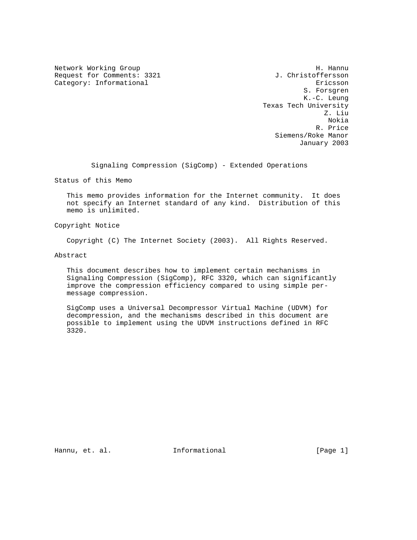Request for Comments: 3321 J. Christoffersson Category: Informational extension of the extension of the extension of the extension of the extension of the extension of the extension of the extension of the extension of the extension of the extension of the extension o

Network Working Group Network Months and Manual Methods and Manual Methods and Manual Methods and Manual Methods and Manual Methods and Manual Methods and Manual Methods and Manual Methods and Manual Methods and Manual Met S. Forsgren K.-C. Leung Texas Tech University Z. Liu Nokia R. Price Siemens/Roke Manor January 2003

Signaling Compression (SigComp) - Extended Operations

Status of this Memo

 This memo provides information for the Internet community. It does not specify an Internet standard of any kind. Distribution of this memo is unlimited.

Copyright Notice

Copyright (C) The Internet Society (2003). All Rights Reserved.

Abstract

 This document describes how to implement certain mechanisms in Signaling Compression (SigComp), RFC 3320, which can significantly improve the compression efficiency compared to using simple per message compression.

 SigComp uses a Universal Decompressor Virtual Machine (UDVM) for decompression, and the mechanisms described in this document are possible to implement using the UDVM instructions defined in RFC 3320.

Hannu, et. al. 10. Informational 1. [Page 1]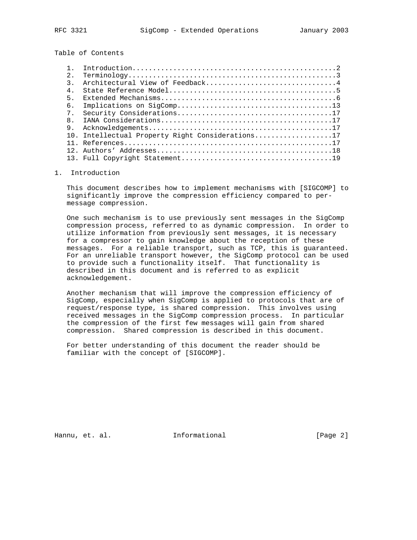Table of Contents

| 2.             |                                                  |
|----------------|--------------------------------------------------|
| २              | Architectural View of Feedback4                  |
| 4 <sup>1</sup> |                                                  |
| 5.             |                                                  |
| б.             |                                                  |
| $7^{\circ}$    |                                                  |
| 8              |                                                  |
| 9              |                                                  |
|                | 10. Intellectual Property Right Considerations17 |
|                |                                                  |
|                |                                                  |
|                |                                                  |

## 1. Introduction

 This document describes how to implement mechanisms with [SIGCOMP] to significantly improve the compression efficiency compared to per message compression.

 One such mechanism is to use previously sent messages in the SigComp compression process, referred to as dynamic compression. In order to utilize information from previously sent messages, it is necessary for a compressor to gain knowledge about the reception of these messages. For a reliable transport, such as TCP, this is guaranteed. For an unreliable transport however, the SigComp protocol can be used to provide such a functionality itself. That functionality is described in this document and is referred to as explicit acknowledgement.

 Another mechanism that will improve the compression efficiency of SigComp, especially when SigComp is applied to protocols that are of request/response type, is shared compression. This involves using received messages in the SigComp compression process. In particular the compression of the first few messages will gain from shared compression. Shared compression is described in this document.

 For better understanding of this document the reader should be familiar with the concept of [SIGCOMP].

Hannu, et. al. 10 Informational 10 100 [Page 2]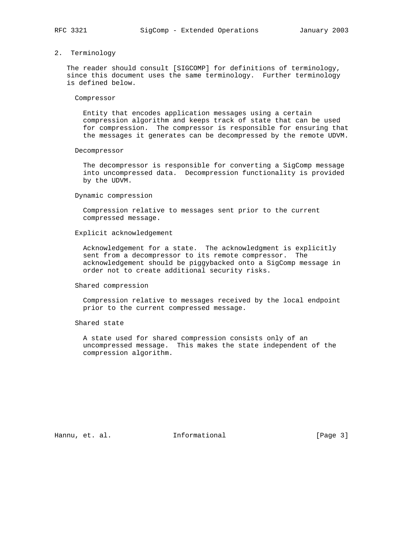## 2. Terminology

 The reader should consult [SIGCOMP] for definitions of terminology, since this document uses the same terminology. Further terminology is defined below.

#### Compressor

 Entity that encodes application messages using a certain compression algorithm and keeps track of state that can be used for compression. The compressor is responsible for ensuring that the messages it generates can be decompressed by the remote UDVM.

#### Decompressor

 The decompressor is responsible for converting a SigComp message into uncompressed data. Decompression functionality is provided by the UDVM.

#### Dynamic compression

 Compression relative to messages sent prior to the current compressed message.

#### Explicit acknowledgement

 Acknowledgement for a state. The acknowledgment is explicitly sent from a decompressor to its remote compressor. The acknowledgement should be piggybacked onto a SigComp message in order not to create additional security risks.

#### Shared compression

 Compression relative to messages received by the local endpoint prior to the current compressed message.

## Shared state

 A state used for shared compression consists only of an uncompressed message. This makes the state independent of the compression algorithm.

Hannu, et. al. **Informational** [Page 3]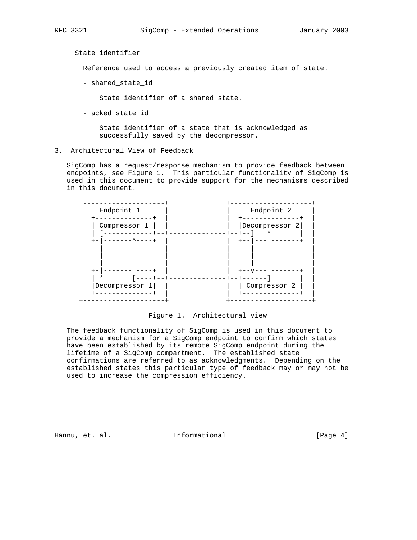State identifier

Reference used to access a previously created item of state.

- shared\_state\_id

State identifier of a shared state.

- acked\_state\_id

 State identifier of a state that is acknowledged as successfully saved by the decompressor.

3. Architectural View of Feedback

 SigComp has a request/response mechanism to provide feedback between endpoints, see Figure 1. This particular functionality of SigComp is used in this document to provide support for the mechanisms described in this document.

| Endpoint 1     | Endpoint 2                         |
|----------------|------------------------------------|
| Compressor 1   | Decompressor 2<br>*<br>$- + - - +$ |
| _____________  |                                    |
| Decompressor 1 | Compressor 2                       |

Figure 1. Architectural view

 The feedback functionality of SigComp is used in this document to provide a mechanism for a SigComp endpoint to confirm which states have been established by its remote SigComp endpoint during the lifetime of a SigComp compartment. The established state confirmations are referred to as acknowledgments. Depending on the established states this particular type of feedback may or may not be used to increase the compression efficiency.

Hannu, et. al. **Informational** [Page 4]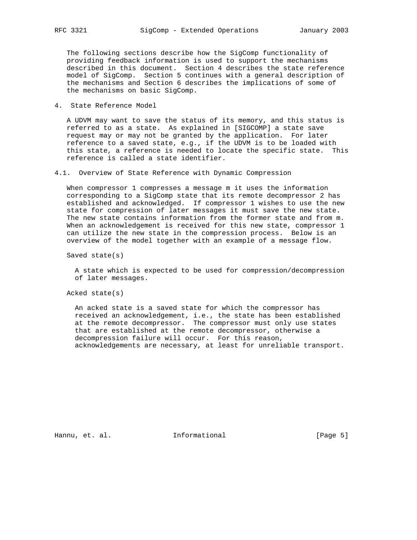The following sections describe how the SigComp functionality of providing feedback information is used to support the mechanisms described in this document. Section 4 describes the state reference model of SigComp. Section 5 continues with a general description of the mechanisms and Section 6 describes the implications of some of the mechanisms on basic SigComp.

4. State Reference Model

 A UDVM may want to save the status of its memory, and this status is referred to as a state. As explained in [SIGCOMP] a state save request may or may not be granted by the application. For later reference to a saved state, e.g., if the UDVM is to be loaded with this state, a reference is needed to locate the specific state. This reference is called a state identifier.

4.1. Overview of State Reference with Dynamic Compression

 When compressor 1 compresses a message m it uses the information corresponding to a SigComp state that its remote decompressor 2 has established and acknowledged. If compressor 1 wishes to use the new state for compression of later messages it must save the new state. The new state contains information from the former state and from m. When an acknowledgement is received for this new state, compressor 1 can utilize the new state in the compression process. Below is an overview of the model together with an example of a message flow.

Saved state(s)

 A state which is expected to be used for compression/decompression of later messages.

Acked state(s)

 An acked state is a saved state for which the compressor has received an acknowledgement, i.e., the state has been established at the remote decompressor. The compressor must only use states that are established at the remote decompressor, otherwise a decompression failure will occur. For this reason, acknowledgements are necessary, at least for unreliable transport.

Hannu, et. al. **Informational** [Page 5]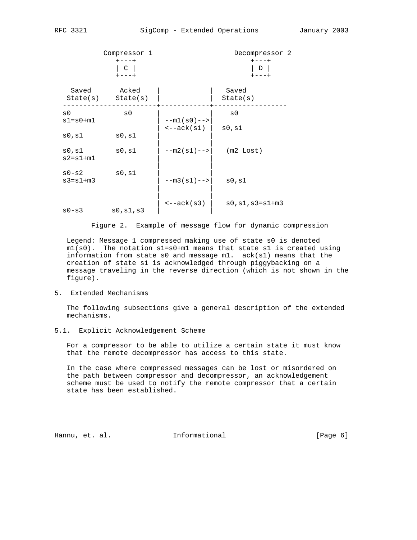|                                  | Compressor 1<br>$+ - - - +$<br>C<br>$+ - - - +$ |                                        | Decompressor 2<br>$+ - - - +$<br>D<br>$+ - - - +$ |
|----------------------------------|-------------------------------------------------|----------------------------------------|---------------------------------------------------|
| Saved                            | Acked<br>$State(s)$ $State(s)$                  |                                        | Saved<br>State(s)                                 |
| $\mathrm{s}$ 0<br>$s1 = s0 + m1$ | $\mathrm{s}$ 0                                  | $--m1(s0) --$<br>$\leftarrow -ack(s1)$ | $\mathrm{s}$ 0<br>s0,s1                           |
| s0,s1                            | s0,s1                                           |                                        |                                                   |
| s0,s1<br>$s2 = s1 + m1$          | s0,s1                                           | $--m2(s1) --$                          | $(m2 \text{ Lost})$                               |
| $s0-s2$<br>$s3 = s1 + m3$        | s0,s1                                           | $--m3(s1) --$                          | s0,s1                                             |
| $s0-s3$                          | s0,s1,s3                                        | $\leftarrow -ack(s3)$                  | $s0, s1, s3 = s1 + m3$                            |

Figure 2. Example of message flow for dynamic compression

 Legend: Message 1 compressed making use of state s0 is denoted  $ml(s0)$ . The notation  $sl=so+ml$  means that state  $sl$  is created using information from state s0 and message m1. ack(s1) means that the creation of state s1 is acknowledged through piggybacking on a message traveling in the reverse direction (which is not shown in the figure).

## 5. Extended Mechanisms

 The following subsections give a general description of the extended mechanisms.

# 5.1. Explicit Acknowledgement Scheme

 For a compressor to be able to utilize a certain state it must know that the remote decompressor has access to this state.

 In the case where compressed messages can be lost or misordered on the path between compressor and decompressor, an acknowledgement scheme must be used to notify the remote compressor that a certain state has been established.

Hannu, et. al. 10 Informational 10 100 [Page 6]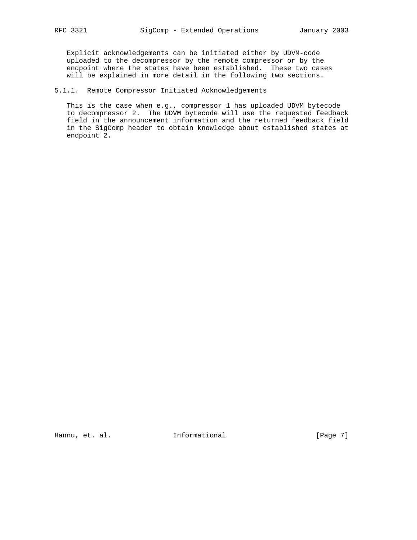Explicit acknowledgements can be initiated either by UDVM-code uploaded to the decompressor by the remote compressor or by the endpoint where the states have been established. These two cases will be explained in more detail in the following two sections.

5.1.1. Remote Compressor Initiated Acknowledgements

 This is the case when e.g., compressor 1 has uploaded UDVM bytecode to decompressor 2. The UDVM bytecode will use the requested feedback field in the announcement information and the returned feedback field in the SigComp header to obtain knowledge about established states at endpoint 2.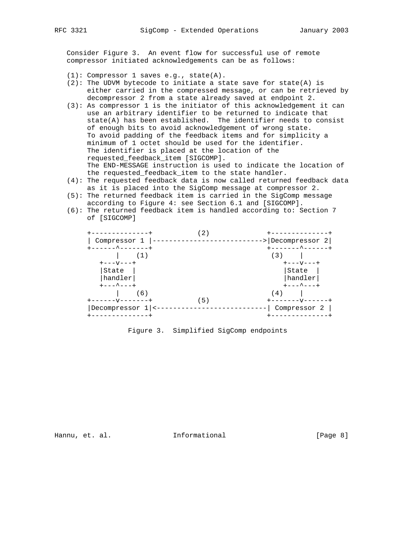Consider Figure 3. An event flow for successful use of remote compressor initiated acknowledgements can be as follows:

- (1): Compressor 1 saves e.g., state(A).
- $(2)$ : The UDVM bytecode to initiate a state save for state(A) is either carried in the compressed message, or can be retrieved by decompressor 2 from a state already saved at endpoint 2.
- (3): As compressor 1 is the initiator of this acknowledgement it can use an arbitrary identifier to be returned to indicate that state(A) has been established. The identifier needs to consist of enough bits to avoid acknowledgement of wrong state. To avoid padding of the feedback items and for simplicity a minimum of 1 octet should be used for the identifier. The identifier is placed at the location of the requested\_feedback\_item [SIGCOMP]. The END-MESSAGE instruction is used to indicate the location of the requested\_feedback\_item to the state handler.
- (4): The requested feedback data is now called returned feedback data as it is placed into the SigComp message at compressor 2.
- (5): The returned feedback item is carried in the SigComp message according to Figure 4: see Section 6.1 and [SIGCOMP].
- (6): The returned feedback item is handled according to: Section 7 of [SIGCOMP]

|                | $2^{\cdot}$ |                  |
|----------------|-------------|------------------|
| Compressor 1   |             | > Decompressor   |
| ----^------    |             | _____^___        |
|                |             | (3)              |
| キーーーVーーーキ      |             | <b>+---v---+</b> |
| State          |             | State            |
| handler        |             | handler          |
| ---^---+       |             | ---^---+         |
| (6)            |             | (4)              |
|                | 5)          |                  |
| Decompressor 1 |             | Compressor       |
|                |             |                  |

# Figure 3. Simplified SigComp endpoints

Hannu, et. al. **Informational** [Page 8]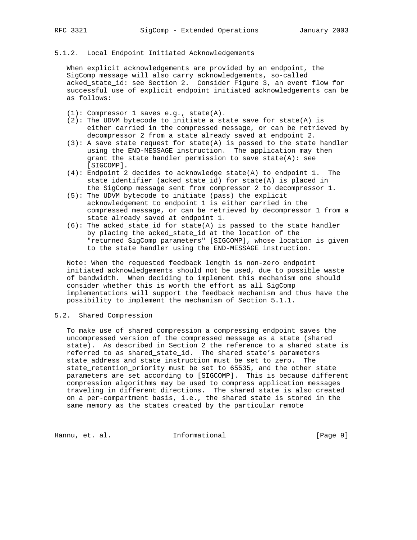# 5.1.2. Local Endpoint Initiated Acknowledgements

 When explicit acknowledgements are provided by an endpoint, the SigComp message will also carry acknowledgements, so-called acked\_state\_id: see Section 2. Consider Figure 3, an event flow for successful use of explicit endpoint initiated acknowledgements can be as follows:

- (1): Compressor 1 saves e.g., state(A).
- $(2)$ : The UDVM bytecode to initiate a state save for state(A) is either carried in the compressed message, or can be retrieved by decompressor 2 from a state already saved at endpoint 2.
- (3): A save state request for state(A) is passed to the state handler using the END-MESSAGE instruction. The application may then grant the state handler permission to save state( $A$ ): see [SIGCOMP].
- (4): Endpoint 2 decides to acknowledge state(A) to endpoint 1. The state identifier (acked\_state\_id) for state(A) is placed in the SigComp message sent from compressor 2 to decompressor 1.
- (5): The UDVM bytecode to initiate (pass) the explicit acknowledgement to endpoint 1 is either carried in the compressed message, or can be retrieved by decompressor 1 from a state already saved at endpoint 1.
- $(6)$ : The acked\_state\_id for state(A) is passed to the state handler by placing the acked\_state\_id at the location of the "returned SigComp parameters" [SIGCOMP], whose location is given to the state handler using the END-MESSAGE instruction.

 Note: When the requested feedback length is non-zero endpoint initiated acknowledgements should not be used, due to possible waste of bandwidth. When deciding to implement this mechanism one should consider whether this is worth the effort as all SigComp implementations will support the feedback mechanism and thus have the possibility to implement the mechanism of Section 5.1.1.

## 5.2. Shared Compression

 To make use of shared compression a compressing endpoint saves the uncompressed version of the compressed message as a state (shared state). As described in Section 2 the reference to a shared state is referred to as shared\_state\_id. The shared state's parameters state\_address and state\_instruction must be set to zero. The state\_retention\_priority must be set to 65535, and the other state parameters are set according to [SIGCOMP]. This is because different compression algorithms may be used to compress application messages traveling in different directions. The shared state is also created on a per-compartment basis, i.e., the shared state is stored in the same memory as the states created by the particular remote

Hannu, et. al. 10 Informational 10 100 [Page 9]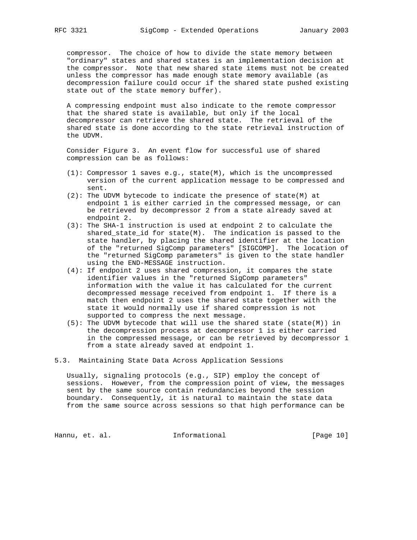compressor. The choice of how to divide the state memory between "ordinary" states and shared states is an implementation decision at the compressor. Note that new shared state items must not be created unless the compressor has made enough state memory available (as decompression failure could occur if the shared state pushed existing state out of the state memory buffer).

 A compressing endpoint must also indicate to the remote compressor that the shared state is available, but only if the local decompressor can retrieve the shared state. The retrieval of the shared state is done according to the state retrieval instruction of the UDVM.

 Consider Figure 3. An event flow for successful use of shared compression can be as follows:

- (1): Compressor 1 saves e.g., state(M), which is the uncompressed version of the current application message to be compressed and sent.
- (2): The UDVM bytecode to indicate the presence of state(M) at endpoint 1 is either carried in the compressed message, or can be retrieved by decompressor 2 from a state already saved at endpoint 2.
- (3): The SHA-1 instruction is used at endpoint 2 to calculate the shared\_state\_id for state(M). The indication is passed to the state handler, by placing the shared identifier at the location of the "returned SigComp parameters" [SIGCOMP]. The location of the "returned SigComp parameters" is given to the state handler using the END-MESSAGE instruction.
- (4): If endpoint 2 uses shared compression, it compares the state identifier values in the "returned SigComp parameters" information with the value it has calculated for the current decompressed message received from endpoint 1. If there is a match then endpoint 2 uses the shared state together with the state it would normally use if shared compression is not supported to compress the next message.
- (5): The UDVM bytecode that will use the shared state (state(M)) in the decompression process at decompressor 1 is either carried in the compressed message, or can be retrieved by decompressor 1 from a state already saved at endpoint 1.
- 5.3. Maintaining State Data Across Application Sessions

 Usually, signaling protocols (e.g., SIP) employ the concept of sessions. However, from the compression point of view, the messages sent by the same source contain redundancies beyond the session boundary. Consequently, it is natural to maintain the state data from the same source across sessions so that high performance can be

Hannu, et. al. 10 Informational 1999 [Page 10]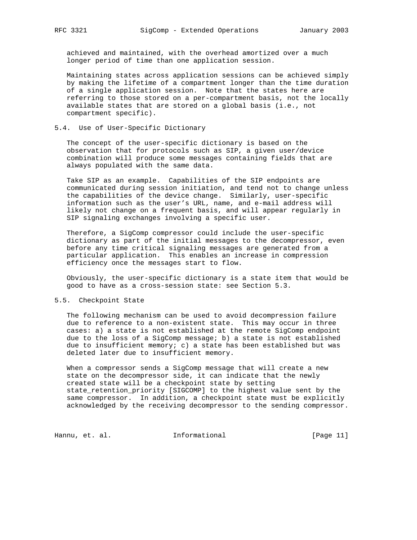achieved and maintained, with the overhead amortized over a much longer period of time than one application session.

 Maintaining states across application sessions can be achieved simply by making the lifetime of a compartment longer than the time duration of a single application session. Note that the states here are referring to those stored on a per-compartment basis, not the locally available states that are stored on a global basis (i.e., not compartment specific).

## 5.4. Use of User-Specific Dictionary

 The concept of the user-specific dictionary is based on the observation that for protocols such as SIP, a given user/device combination will produce some messages containing fields that are always populated with the same data.

 Take SIP as an example. Capabilities of the SIP endpoints are communicated during session initiation, and tend not to change unless the capabilities of the device change. Similarly, user-specific information such as the user's URL, name, and e-mail address will likely not change on a frequent basis, and will appear regularly in SIP signaling exchanges involving a specific user.

 Therefore, a SigComp compressor could include the user-specific dictionary as part of the initial messages to the decompressor, even before any time critical signaling messages are generated from a particular application. This enables an increase in compression efficiency once the messages start to flow.

 Obviously, the user-specific dictionary is a state item that would be good to have as a cross-session state: see Section 5.3.

## 5.5. Checkpoint State

 The following mechanism can be used to avoid decompression failure due to reference to a non-existent state. This may occur in three cases: a) a state is not established at the remote SigComp endpoint due to the loss of a SigComp message; b) a state is not established due to insufficient memory; c) a state has been established but was deleted later due to insufficient memory.

When a compressor sends a SigComp message that will create a new state on the decompressor side, it can indicate that the newly created state will be a checkpoint state by setting state\_retention\_priority [SIGCOMP] to the highest value sent by the same compressor. In addition, a checkpoint state must be explicitly acknowledged by the receiving decompressor to the sending compressor.

Hannu, et. al. 10. Informational 1.1 [Page 11]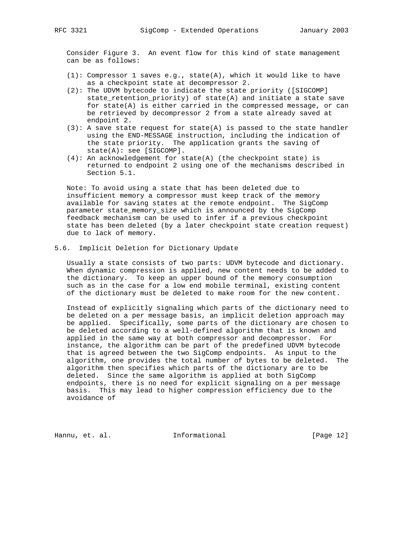Consider Figure 3. An event flow for this kind of state management can be as follows:

- (1): Compressor 1 saves e.g., state(A), which it would like to have as a checkpoint state at decompressor 2.
- (2): The UDVM bytecode to indicate the state priority ([SIGCOMP] state\_retention\_priority) of state(A) and initiate a state save for state(A) is either carried in the compressed message, or can be retrieved by decompressor 2 from a state already saved at endpoint 2.
- (3): A save state request for state(A) is passed to the state handler using the END-MESSAGE instruction, including the indication of the state priority. The application grants the saving of state(A): see [SIGCOMP].
- (4): An acknowledgement for state(A) (the checkpoint state) is returned to endpoint 2 using one of the mechanisms described in Section 5.1.

 Note: To avoid using a state that has been deleted due to insufficient memory a compressor must keep track of the memory available for saving states at the remote endpoint. The SigComp parameter state\_memory\_size which is announced by the SigComp feedback mechanism can be used to infer if a previous checkpoint state has been deleted (by a later checkpoint state creation request) due to lack of memory.

5.6. Implicit Deletion for Dictionary Update

 Usually a state consists of two parts: UDVM bytecode and dictionary. When dynamic compression is applied, new content needs to be added to the dictionary. To keep an upper bound of the memory consumption such as in the case for a low end mobile terminal, existing content of the dictionary must be deleted to make room for the new content.

 Instead of explicitly signaling which parts of the dictionary need to be deleted on a per message basis, an implicit deletion approach may be applied. Specifically, some parts of the dictionary are chosen to be deleted according to a well-defined algorithm that is known and applied in the same way at both compressor and decompressor. For instance, the algorithm can be part of the predefined UDVM bytecode that is agreed between the two SigComp endpoints. As input to the algorithm, one provides the total number of bytes to be deleted. The algorithm then specifies which parts of the dictionary are to be deleted. Since the same algorithm is applied at both SigComp endpoints, there is no need for explicit signaling on a per message basis. This may lead to higher compression efficiency due to the avoidance of

Hannu, et. al. **Informational** [Page 12]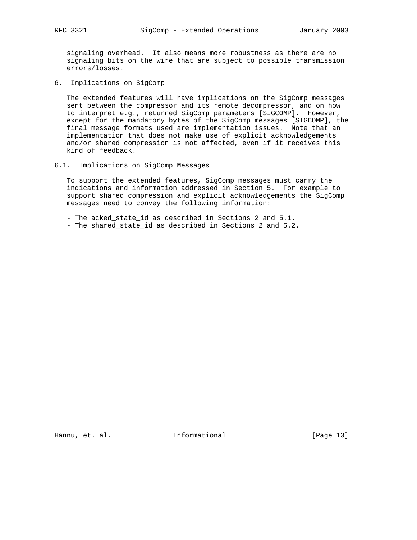signaling overhead. It also means more robustness as there are no signaling bits on the wire that are subject to possible transmission errors/losses.

6. Implications on SigComp

 The extended features will have implications on the SigComp messages sent between the compressor and its remote decompressor, and on how to interpret e.g., returned SigComp parameters [SIGCOMP]. However, except for the mandatory bytes of the SigComp messages [SIGCOMP], the final message formats used are implementation issues. Note that an implementation that does not make use of explicit acknowledgements and/or shared compression is not affected, even if it receives this kind of feedback.

6.1. Implications on SigComp Messages

 To support the extended features, SigComp messages must carry the indications and information addressed in Section 5. For example to support shared compression and explicit acknowledgements the SigComp messages need to convey the following information:

- The acked\_state\_id as described in Sections 2 and 5.1.
- The shared\_state\_id as described in Sections 2 and 5.2.

Hannu, et. al. 10 Informational 1999 [Page 13]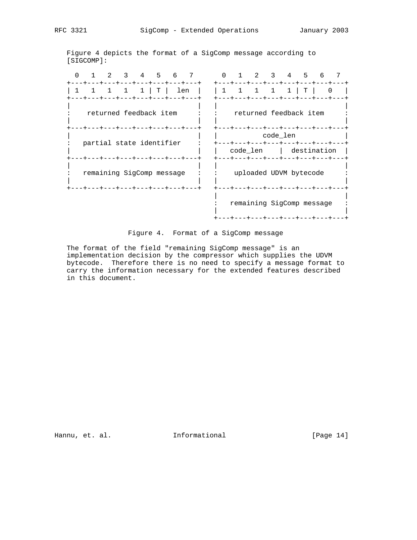Figure 4 depicts the format of a SigComp message according to [SIGCOMP]:

 0 1 2 3 4 5 6 7 0 1 2 3 4 5 6 7 +---+---+---+---+---+---+---+---+ +---+---+---+---+---+---+---+---+ | 1 1 1 1 1 | T | len | | 1 1 1 1 1 | T | 0 | +---+---+---+---+---+---+---+---+ +---+---+---+---+---+---+---+---+ | | | | : returned feedback item : : returned feedback item : | | | | +---+---+---+---+---+---+---+---+ +---+---+---+---+---+---+---+---+ | | | code\_len | : partial state identifier : +---+---+---+---+---+---+---+---+ | | | code\_len | destination | +---+---+---+---+---+---+---+---+ +---+---+---+---+---+---+---+---+ | | | | : remaining SigComp message : : uploaded UDVM bytecode : | | | | +---+---+---+---+---+---+---+---+ +---+---+---+---+---+---+---+---+ | | : remaining SigComp message : | | +---+---+---+---+---+---+---+---+

Figure 4. Format of a SigComp message

 The format of the field "remaining SigComp message" is an implementation decision by the compressor which supplies the UDVM bytecode. Therefore there is no need to specify a message format to carry the information necessary for the extended features described in this document.

Hannu, et. al. 10. Informational 1.1 [Page 14]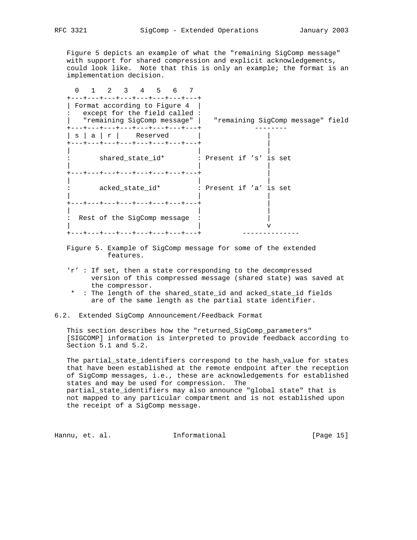Figure 5 depicts an example of what the "remaining SigComp message" with support for shared compression and explicit acknowledgements, could look like. Note that this is only an example; the format is an implementation decision.

 0 1 2 3 4 5 6 7 +---+---+---+---+---+---+---+---+ | Format according to Figure 4 | : except for the field called : | "remaining SigComp message" | "remaining SigComp message" field +---+---+---+---+---+---+---+---+ --------  $| s | a | r |$  Reserved | +---+---+---+---+---+---+---+---+ | | | | : shared\_state\_id\* : Present if 's' is set | | | +---+---+---+---+---+---+---+---+ | | | | : acked\_state\_id\* : Present if 'a' is set | | | +---+---+---+---+---+---+---+---+ | | | | : Rest of the SigComp message : | | v +---+---+---+---+---+---+---+---+ --------------

- Figure 5. Example of SigComp message for some of the extended features.
- 'r' : If set, then a state corresponding to the decompressed version of this compressed message (shared state) was saved at the compressor.
- \* : The length of the shared\_state\_id and acked\_state\_id fields are of the same length as the partial state identifier.
- 6.2. Extended SigComp Announcement/Feedback Format

 This section describes how the "returned\_SigComp\_parameters" [SIGCOMP] information is interpreted to provide feedback according to Section 5.1 and 5.2.

 The partial\_state\_identifiers correspond to the hash\_value for states that have been established at the remote endpoint after the reception of SigComp messages, i.e., these are acknowledgements for established states and may be used for compression. The partial\_state\_identifiers may also announce "global state" that is not mapped to any particular compartment and is not established upon the receipt of a SigComp message.

Hannu, et. al. 10. Informational 1999 [Page 15]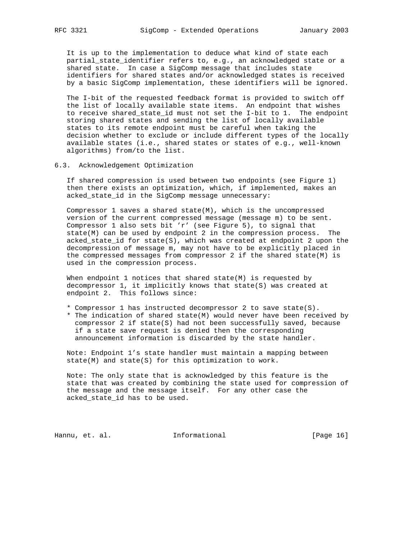It is up to the implementation to deduce what kind of state each partial\_state\_identifier refers to, e.g., an acknowledged state or a shared state. In case a SigComp message that includes state identifiers for shared states and/or acknowledged states is received by a basic SigComp implementation, these identifiers will be ignored.

 The I-bit of the requested feedback format is provided to switch off the list of locally available state items. An endpoint that wishes to receive shared\_state\_id must not set the I-bit to 1. The endpoint storing shared states and sending the list of locally available states to its remote endpoint must be careful when taking the decision whether to exclude or include different types of the locally available states (i.e., shared states or states of e.g., well-known algorithms) from/to the list.

#### 6.3. Acknowledgement Optimization

 If shared compression is used between two endpoints (see Figure 1) then there exists an optimization, which, if implemented, makes an acked\_state\_id in the SigComp message unnecessary:

Compressor  $1$  saves a shared state(M), which is the uncompressed version of the current compressed message (message m) to be sent. Compressor 1 also sets bit 'r' (see Figure 5), to signal that state(M) can be used by endpoint 2 in the compression process. The acked\_state\_id for state(S), which was created at endpoint 2 upon the decompression of message m, may not have to be explicitly placed in the compressed messages from compressor 2 if the shared state(M) is used in the compression process.

 When endpoint 1 notices that shared state(M) is requested by decompressor 1, it implicitly knows that state(S) was created at endpoint 2. This follows since:

- \* Compressor 1 has instructed decompressor 2 to save state(S).
- \* The indication of shared state(M) would never have been received by compressor 2 if state(S) had not been successfully saved, because if a state save request is denied then the corresponding announcement information is discarded by the state handler.

 Note: Endpoint 1's state handler must maintain a mapping between state(M) and state(S) for this optimization to work.

 Note: The only state that is acknowledged by this feature is the state that was created by combining the state used for compression of the message and the message itself. For any other case the acked\_state\_id has to be used.

Hannu, et. al. 10 Informational 1999 [Page 16]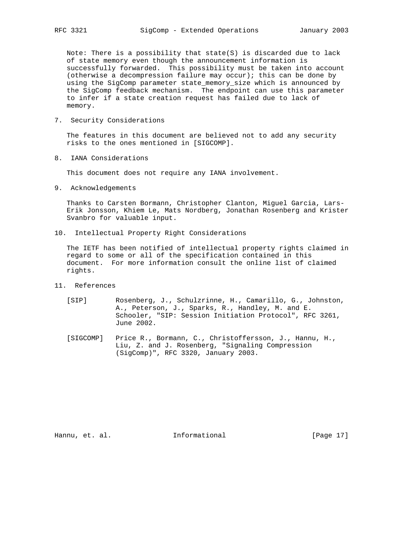Note: There is a possibility that state(S) is discarded due to lack of state memory even though the announcement information is successfully forwarded. This possibility must be taken into account (otherwise a decompression failure may occur); this can be done by using the SigComp parameter state\_memory\_size which is announced by the SigComp feedback mechanism. The endpoint can use this parameter to infer if a state creation request has failed due to lack of memory.

7. Security Considerations

 The features in this document are believed not to add any security risks to the ones mentioned in [SIGCOMP].

8. IANA Considerations

This document does not require any IANA involvement.

9. Acknowledgements

 Thanks to Carsten Bormann, Christopher Clanton, Miguel Garcia, Lars- Erik Jonsson, Khiem Le, Mats Nordberg, Jonathan Rosenberg and Krister Svanbro for valuable input.

10. Intellectual Property Right Considerations

 The IETF has been notified of intellectual property rights claimed in regard to some or all of the specification contained in this document. For more information consult the online list of claimed rights.

- 11. References
	- [SIP] Rosenberg, J., Schulzrinne, H., Camarillo, G., Johnston, A., Peterson, J., Sparks, R., Handley, M. and E. Schooler, "SIP: Session Initiation Protocol", RFC 3261, June 2002.
	- [SIGCOMP] Price R., Bormann, C., Christoffersson, J., Hannu, H., Liu, Z. and J. Rosenberg, "Signaling Compression (SigComp)", RFC 3320, January 2003.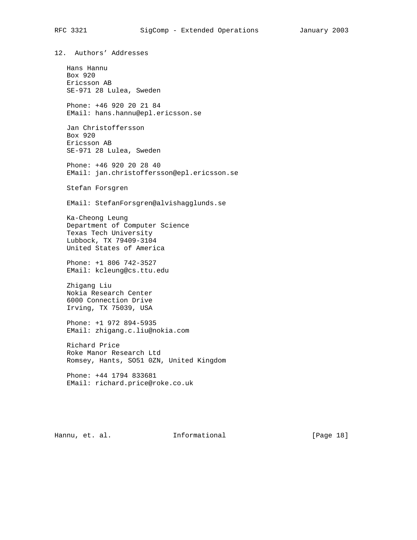12. Authors' Addresses Hans Hannu Box 920 Ericsson AB SE-971 28 Lulea, Sweden Phone: +46 920 20 21 84 EMail: hans.hannu@epl.ericsson.se Jan Christoffersson Box 920 Ericsson AB SE-971 28 Lulea, Sweden Phone: +46 920 20 28 40 EMail: jan.christoffersson@epl.ericsson.se Stefan Forsgren EMail: StefanForsgren@alvishagglunds.se Ka-Cheong Leung Department of Computer Science Texas Tech University Lubbock, TX 79409-3104 United States of America Phone: +1 806 742-3527 EMail: kcleung@cs.ttu.edu Zhigang Liu Nokia Research Center 6000 Connection Drive Irving, TX 75039, USA Phone: +1 972 894-5935 EMail: zhigang.c.liu@nokia.com Richard Price Roke Manor Research Ltd Romsey, Hants, SO51 0ZN, United Kingdom Phone: +44 1794 833681 EMail: richard.price@roke.co.uk

Hannu, et. al. **Informational** [Page 18]